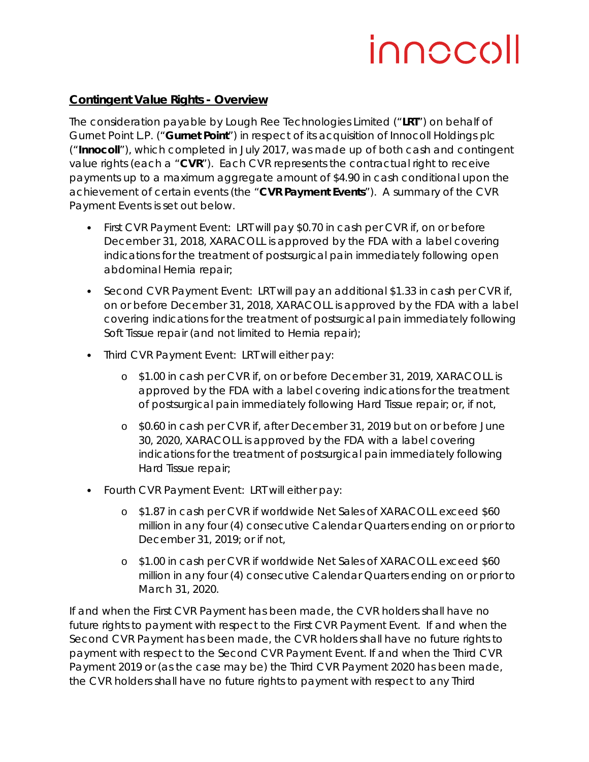## innocoll

## **Contingent Value Rights - Overview**

The consideration payable by Lough Ree Technologies Limited ("**LRT**") on behalf of Gurnet Point L.P. ("**Gurnet Point**") in respect of its acquisition of Innocoll Holdings plc ("**Innocoll**"), which completed in July 2017, was made up of both cash and contingent value rights (each a "**CVR**"). Each CVR represents the contractual right to receive payments up to a maximum aggregate amount of \$4.90 in cash conditional upon the achievement of certain events (the "**CVR Payment Events**"). A summary of the CVR Payment Events is set out below.

- First CVR Payment Event: LRT will pay \$0.70 in cash per CVR if, on or before December 31, 2018, XARACOLL is approved by the FDA with a label covering indications for the treatment of postsurgical pain immediately following open abdominal Hernia repair;
- Second CVR Payment Event: LRT will pay an additional \$1.33 in cash per CVR if, on or before December 31, 2018, XARACOLL is approved by the FDA with a label covering indications for the treatment of postsurgical pain immediately following Soft Tissue repair (and not limited to Hernia repair);
- Third CVR Payment Event: LRT will either pay:
	- o \$1.00 in cash per CVR if, on or before December 31, 2019, XARACOLL is approved by the FDA with a label covering indications for the treatment of postsurgical pain immediately following Hard Tissue repair; or, if not,
	- o \$0.60 in cash per CVR if, after December 31, 2019 but on or before June 30, 2020, XARACOLL is approved by the FDA with a label covering indications for the treatment of postsurgical pain immediately following Hard Tissue repair;
- Fourth CVR Payment Event: LRT will either pay:
	- o \$1.87 in cash per CVR if worldwide Net Sales of XARACOLL exceed \$60 million in any four (4) consecutive Calendar Quarters ending on or prior to December 31, 2019; or if not,
	- o \$1.00 in cash per CVR if worldwide Net Sales of XARACOLL exceed \$60 million in any four (4) consecutive Calendar Quarters ending on or prior to March 31, 2020.

If and when the First CVR Payment has been made, the CVR holders shall have no future rights to payment with respect to the First CVR Payment Event. If and when the Second CVR Payment has been made, the CVR holders shall have no future rights to payment with respect to the Second CVR Payment Event. If and when the Third CVR Payment 2019 or (as the case may be) the Third CVR Payment 2020 has been made, the CVR holders shall have no future rights to payment with respect to any Third